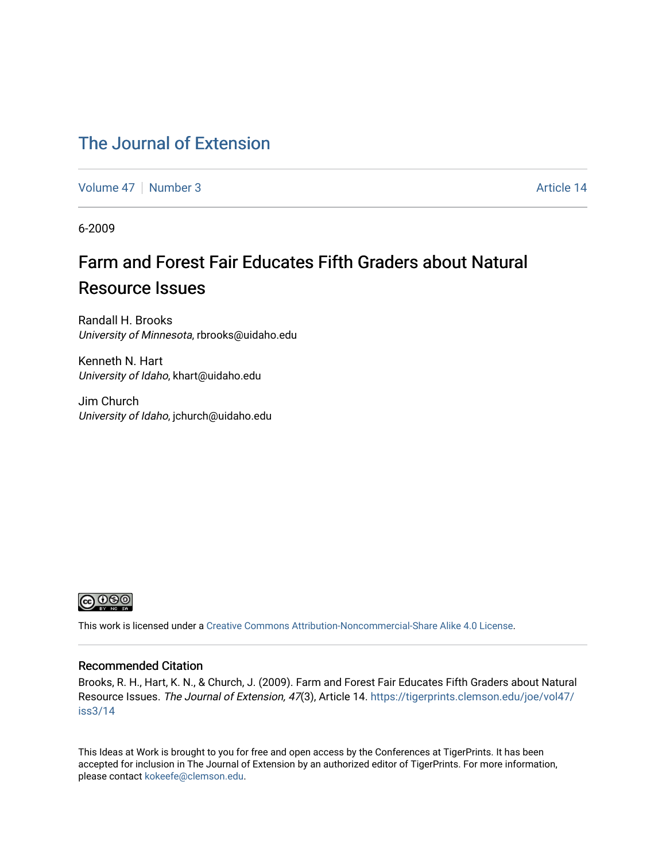### [The Journal of Extension](https://tigerprints.clemson.edu/joe)

[Volume 47](https://tigerprints.clemson.edu/joe/vol47) | [Number 3](https://tigerprints.clemson.edu/joe/vol47/iss3) Article 14

6-2009

### Farm and Forest Fair Educates Fifth Graders about Natural Resource Issues

Randall H. Brooks University of Minnesota, rbrooks@uidaho.edu

Kenneth N. Hart University of Idaho, khart@uidaho.edu

Jim Church University of Idaho, jchurch@uidaho.edu



This work is licensed under a [Creative Commons Attribution-Noncommercial-Share Alike 4.0 License.](https://creativecommons.org/licenses/by-nc-sa/4.0/)

#### Recommended Citation

Brooks, R. H., Hart, K. N., & Church, J. (2009). Farm and Forest Fair Educates Fifth Graders about Natural Resource Issues. The Journal of Extension, 47(3), Article 14. [https://tigerprints.clemson.edu/joe/vol47/](https://tigerprints.clemson.edu/joe/vol47/iss3/14) [iss3/14](https://tigerprints.clemson.edu/joe/vol47/iss3/14) 

This Ideas at Work is brought to you for free and open access by the Conferences at TigerPrints. It has been accepted for inclusion in The Journal of Extension by an authorized editor of TigerPrints. For more information, please contact [kokeefe@clemson.edu](mailto:kokeefe@clemson.edu).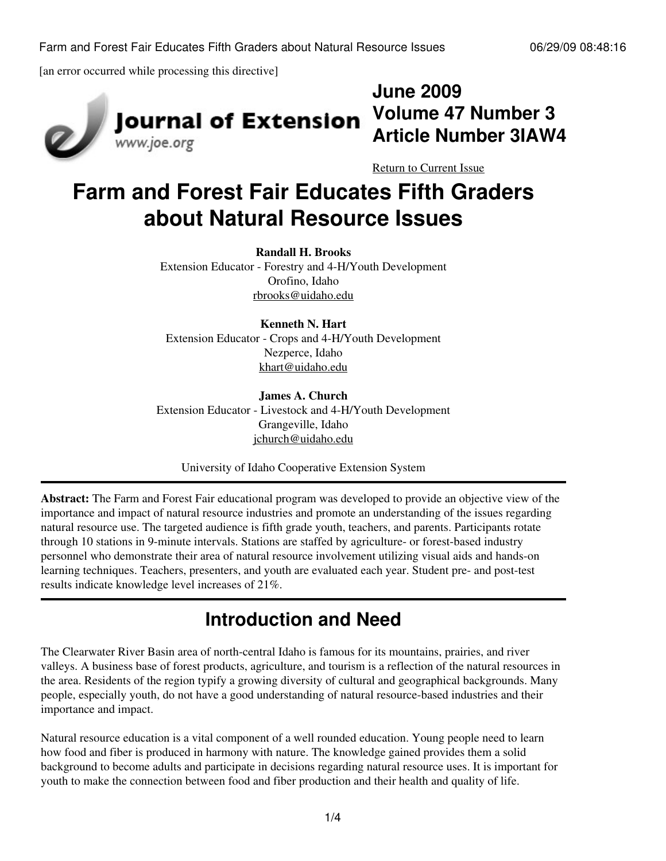[an error occurred while processing this directive]



# **Journal of Extension** www.joe.org

**Volume 47 Number 3 Article Number 3IAW4**

[Return to Current Issue](http://www.joe.org:80/joe/2009june/)

**June 2009**

# **Farm and Forest Fair Educates Fifth Graders about Natural Resource Issues**

#### **Randall H. Brooks**

Extension Educator - Forestry and 4-H/Youth Development Orofino, Idaho [rbrooks@uidaho.edu](mailto:rbrooks@uidaho.edu)

### **Kenneth N. Hart**

Extension Educator - Crops and 4-H/Youth Development Nezperce, Idaho [khart@uidaho.edu](mailto:khart@uidaho.edu)

### **James A. Church**

Extension Educator - Livestock and 4-H/Youth Development Grangeville, Idaho [jchurch@uidaho.edu](mailto:jchurch@uidaho.edu)

University of Idaho Cooperative Extension System

**Abstract:** The Farm and Forest Fair educational program was developed to provide an objective view of the importance and impact of natural resource industries and promote an understanding of the issues regarding natural resource use. The targeted audience is fifth grade youth, teachers, and parents. Participants rotate through 10 stations in 9-minute intervals. Stations are staffed by agriculture- or forest-based industry personnel who demonstrate their area of natural resource involvement utilizing visual aids and hands-on learning techniques. Teachers, presenters, and youth are evaluated each year. Student pre- and post-test results indicate knowledge level increases of 21%.

### **Introduction and Need**

The Clearwater River Basin area of north-central Idaho is famous for its mountains, prairies, and river valleys. A business base of forest products, agriculture, and tourism is a reflection of the natural resources in the area. Residents of the region typify a growing diversity of cultural and geographical backgrounds. Many people, especially youth, do not have a good understanding of natural resource-based industries and their importance and impact.

Natural resource education is a vital component of a well rounded education. Young people need to learn how food and fiber is produced in harmony with nature. The knowledge gained provides them a solid background to become adults and participate in decisions regarding natural resource uses. It is important for youth to make the connection between food and fiber production and their health and quality of life.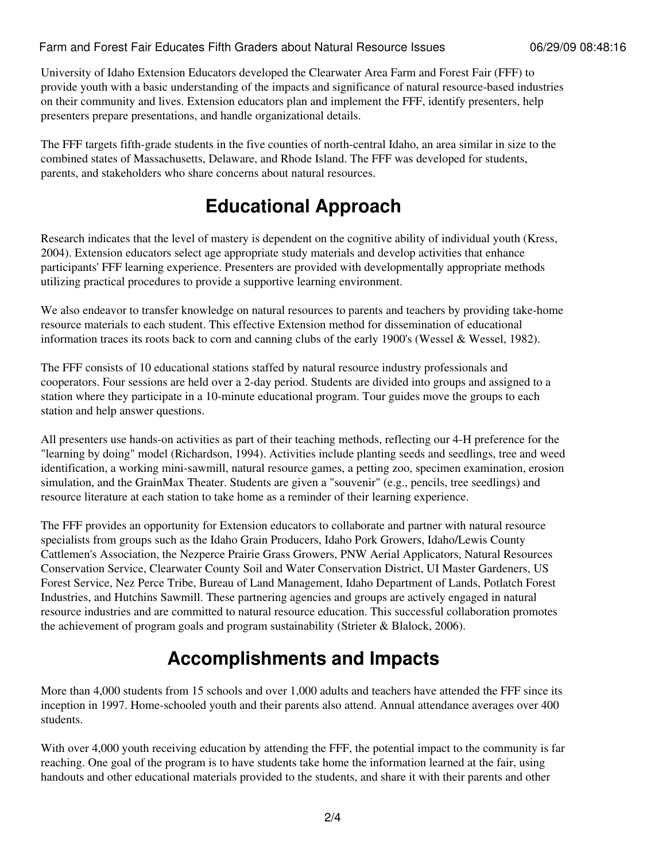University of Idaho Extension Educators developed the Clearwater Area Farm and Forest Fair (FFF) to provide youth with a basic understanding of the impacts and significance of natural resource-based industries on their community and lives. Extension educators plan and implement the FFF, identify presenters, help presenters prepare presentations, and handle organizational details.

The FFF targets fifth-grade students in the five counties of north-central Idaho, an area similar in size to the combined states of Massachusetts, Delaware, and Rhode Island. The FFF was developed for students, parents, and stakeholders who share concerns about natural resources.

## **Educational Approach**

Research indicates that the level of mastery is dependent on the cognitive ability of individual youth (Kress, 2004). Extension educators select age appropriate study materials and develop activities that enhance participants' FFF learning experience. Presenters are provided with developmentally appropriate methods utilizing practical procedures to provide a supportive learning environment.

We also endeavor to transfer knowledge on natural resources to parents and teachers by providing take-home resource materials to each student. This effective Extension method for dissemination of educational information traces its roots back to corn and canning clubs of the early 1900's (Wessel & Wessel, 1982).

The FFF consists of 10 educational stations staffed by natural resource industry professionals and cooperators. Four sessions are held over a 2-day period. Students are divided into groups and assigned to a station where they participate in a 10-minute educational program. Tour guides move the groups to each station and help answer questions.

All presenters use hands-on activities as part of their teaching methods, reflecting our 4-H preference for the "learning by doing" model (Richardson, 1994). Activities include planting seeds and seedlings, tree and weed identification, a working mini-sawmill, natural resource games, a petting zoo, specimen examination, erosion simulation, and the GrainMax Theater. Students are given a "souvenir" (e.g., pencils, tree seedlings) and resource literature at each station to take home as a reminder of their learning experience.

The FFF provides an opportunity for Extension educators to collaborate and partner with natural resource specialists from groups such as the Idaho Grain Producers, Idaho Pork Growers, Idaho/Lewis County Cattlemen's Association, the Nezperce Prairie Grass Growers, PNW Aerial Applicators, Natural Resources Conservation Service, Clearwater County Soil and Water Conservation District, UI Master Gardeners, US Forest Service, Nez Perce Tribe, Bureau of Land Management, Idaho Department of Lands, Potlatch Forest Industries, and Hutchins Sawmill. These partnering agencies and groups are actively engaged in natural resource industries and are committed to natural resource education. This successful collaboration promotes the achievement of program goals and program sustainability (Strieter & Blalock, 2006).

## **Accomplishments and Impacts**

More than 4,000 students from 15 schools and over 1,000 adults and teachers have attended the FFF since its inception in 1997. Home-schooled youth and their parents also attend. Annual attendance averages over 400 students.

With over 4,000 youth receiving education by attending the FFF, the potential impact to the community is far reaching. One goal of the program is to have students take home the information learned at the fair, using handouts and other educational materials provided to the students, and share it with their parents and other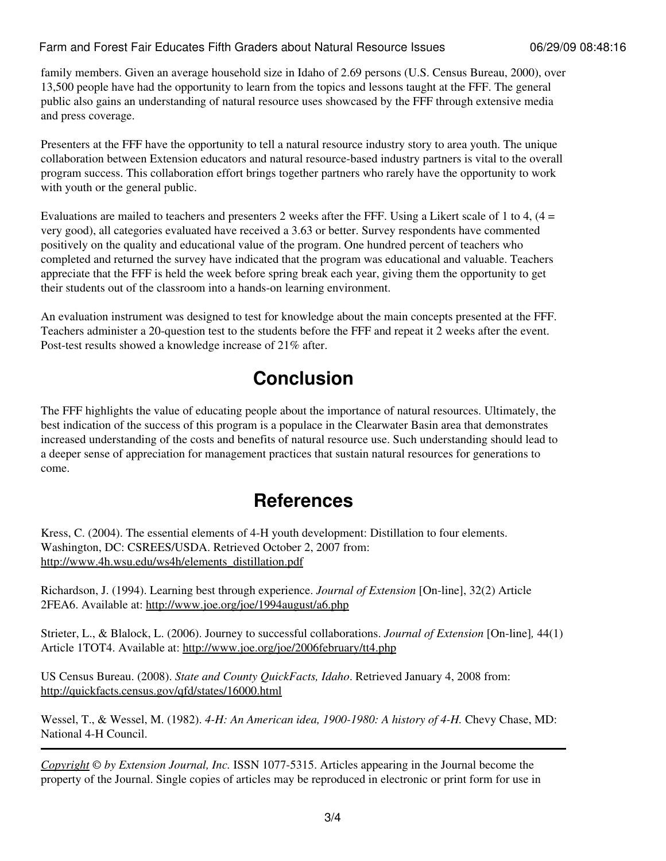#### Farm and Forest Fair Educates Fifth Graders about Natural Resource Issues 06/29/09 08:48:16

family members. Given an average household size in Idaho of 2.69 persons (U.S. Census Bureau, 2000), over 13,500 people have had the opportunity to learn from the topics and lessons taught at the FFF. The general public also gains an understanding of natural resource uses showcased by the FFF through extensive media and press coverage.

Presenters at the FFF have the opportunity to tell a natural resource industry story to area youth. The unique collaboration between Extension educators and natural resource-based industry partners is vital to the overall program success. This collaboration effort brings together partners who rarely have the opportunity to work with youth or the general public.

Evaluations are mailed to teachers and presenters 2 weeks after the FFF. Using a Likert scale of 1 to 4,  $(4 =$ very good), all categories evaluated have received a 3.63 or better. Survey respondents have commented positively on the quality and educational value of the program. One hundred percent of teachers who completed and returned the survey have indicated that the program was educational and valuable. Teachers appreciate that the FFF is held the week before spring break each year, giving them the opportunity to get their students out of the classroom into a hands-on learning environment.

An evaluation instrument was designed to test for knowledge about the main concepts presented at the FFF. Teachers administer a 20-question test to the students before the FFF and repeat it 2 weeks after the event. Post-test results showed a knowledge increase of 21% after.

### **Conclusion**

The FFF highlights the value of educating people about the importance of natural resources. Ultimately, the best indication of the success of this program is a populace in the Clearwater Basin area that demonstrates increased understanding of the costs and benefits of natural resource use. Such understanding should lead to a deeper sense of appreciation for management practices that sustain natural resources for generations to come.

### **References**

Kress, C. (2004). The essential elements of 4-H youth development: Distillation to four elements. Washington, DC: CSREES/USDA. Retrieved October 2, 2007 from: [http://www.4h.wsu.edu/ws4h/elements\\_distillation.pdf](http://www.4h.wsu.edu/ws4h/elements_distillation.pdf)

Richardson, J. (1994). Learning best through experience. *Journal of Extension* [On-line], 32(2) Article 2FEA6. Available at: [http://www.joe.org/joe/1994august/a6.php](http://www.joe.org/joe/1994august/a6.php )

Strieter, L., & Blalock, L. (2006). Journey to successful collaborations. *Journal of Extension* [On-line]*,* 44(1) Article 1TOT4. Available at:<http://www.joe.org/joe/2006february/tt4.php>

US Census Bureau. (2008). *State and County QuickFacts, Idaho*. Retrieved January 4, 2008 from: [http://quickfacts.census.gov/qfd/states/16000.html](http://www.joe.org:80/joe/2009june/%20http:/quickfacts.census.gov/qfd/states/16000.html)

Wessel, T., & Wessel, M. (1982). *4-H: An American idea, 1900-1980: A history of 4-H.* Chevy Chase, MD: National 4-H Council.

*[Copyright](http://www.joe.org:80/joe/2009june/../../copyright.html) © by Extension Journal, Inc.* ISSN 1077-5315. Articles appearing in the Journal become the property of the Journal. Single copies of articles may be reproduced in electronic or print form for use in